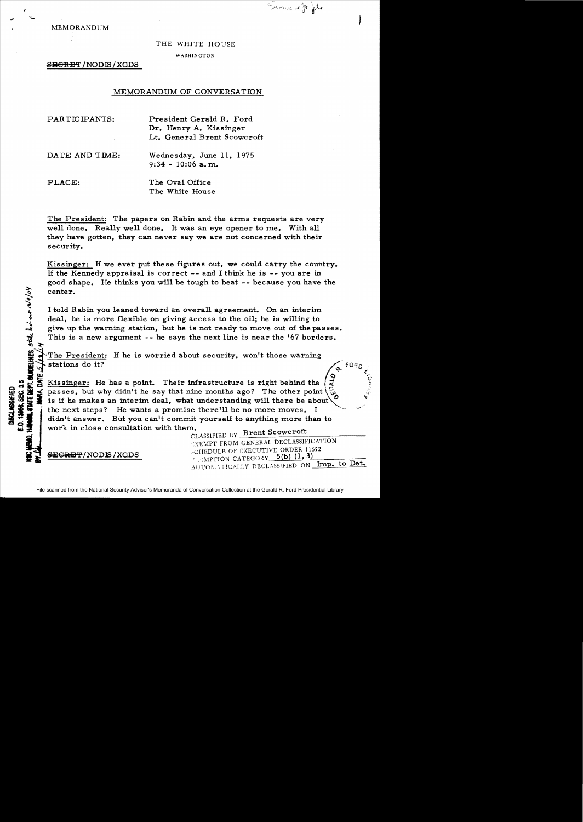Erown of the

MEMORANDUM

**1. GUADE!** 

**8 MTE DEPT** 

**ISCLASSIFIED** 

## THE WHITE HOUSE

WASHINGTON

S<del>EGRET</del>/NODIS/XGDS

## MEMORANDUM OF CONVERSATION

| PARTICIPANTS:  | President Gerald R. Ford<br>Dr. Henry A. Kissinger<br>Lt. General Brent Scowcroft |
|----------------|-----------------------------------------------------------------------------------|
| DATE AND TIME: | Wednesday, June 11, 1975<br>$9:34 - 10:06$ a.m.                                   |
| PLACE:         | The Oval Office<br>The White House                                                |

The President: The papers on Rabin and the arms requests are very well done. Really well done. It was an eye opener to me. With all they have gotten, they can never say we are not concerned with their security.

Kissinger: If we ever put these figures out, we could carry the country. If the Kennedy appraisal is correct - and I think he is - you are in good shape. He thinks you will be tough to beat -- because you have the center.

I told Rabin you leaned toward an overall agreement. On an interim deal, he is more flexible on giving access to the oil; he is willing to *oii* give up the warning station, but he is not ready to move out of the passes. This is a new argument  $-$ . he says the next line is near the '67 borders.

The President: If he is worried about security, won't those warning<br>
stations do it?<br> **Stations do it? delines**, <sup>9</sup><br>S/14/04

 $\mathbf{w}$  and  $\mathbf{w}$  of  $\mathbf{w}$  and  $\mathbf{w}$  and  $\mathbf{w}$  and  $\mathbf{w}$  and  $\mathbf{w}$  and  $\mathbf{w}$  and  $\mathbf{w}$  and  $\mathbf{w}$  and  $\mathbf{w}$  and  $\mathbf{w}$  and  $\mathbf{w}$  and  $\mathbf{w}$  and  $\mathbf{w}$  and  $\mathbf{w}$  and  $\mathbf{w}$  and I.C! Ii ~ Kissinger: He has a point. Their infrastructure is right behind the :;, ~~' passes, but why didn't he say that nine months ago? The other point  $\langle$ is if he makes an interim deal, what understanding will there be about the next steps? He wants a promise there'll be no more moves. I didn't answer. But you can't commit yourself to anything more than to work in close consultation with them.  $\text{CALAS I FIERD RV}$  Brent Scowcroft

**"XEMPT FROM GENERAL DECLASSIFICATION** ,CHEDULE OF EXECUTIVE ORDER 11652 MPTION CATEGORY\_5(b) (1, 3) AUTOMATICALLY DECLASSIFIED ON Imp. to Det.

<del>SEGRET</del>/NODLS / XGDS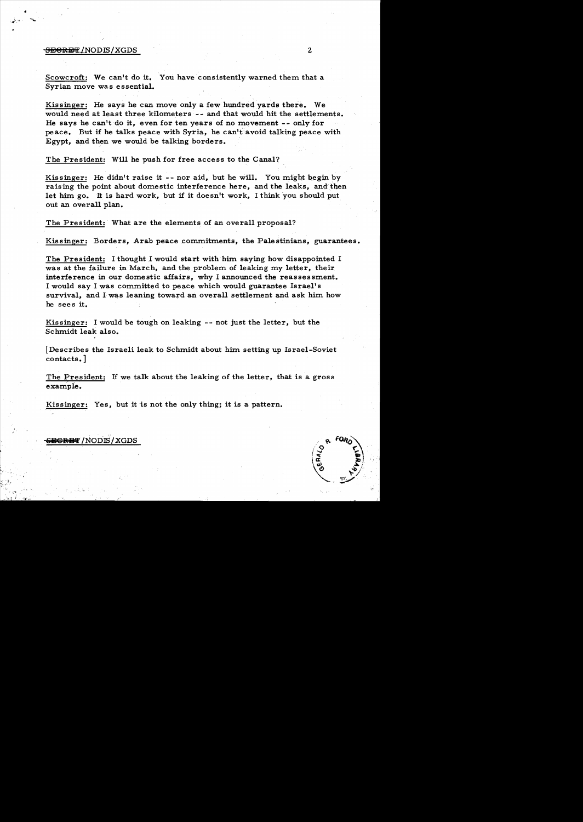## <del>SECRET</del>/NODIS/XGDS 2

•

Scowcroft: We can't do it. You have consistently warned them that a Syrian move was essential.

Kissinger: He says he can move only a few hundred vards there. We would need at least three kilometers -- and that would hit the settlements. He says he canlt do it, even for ten years of no movement -- only for peace. But if he talks peace with Syria, he canltavoid talking peace with Egypt, and then we would be talking borders.

The President: Will he push for free access to the Canal?

Kissinger: He didn't raise it  $-$ - nor aid, but he will. You might begin by raising the point about domestic interference here, and the leaks, and then let him go. It is hard work, but if it doesn't work, I think you should put out an overall plan.

The President: What are the elements of an overall proposal?

Kissinger: Borders, Arab peace commitments, the Palestinians, guarantees.

The President: I thought I would start with him saying how disappointed I was at the failure in March, and the problem of leaking my letter, their interference in our domestic affairs, why I announced the reassessment. I would say I was committed to peace which would guarantee Israel's survival, and I was leaning toward an overall settlement and ask him how he sees it.

Kissinger: I would be tough on leaking -- not just the letter, but the Schmidt leak also.

[Describes the Israeli leak to Schmidt about him. setting up Israel-Soviet contacts. ]

The President: If we talk about the leaking of the letter, that is a gross example.

Kissinger: Yes, but it is not the only thing; it is a pattern.

## <del>ecret</del> /NODIS/XGDS

, "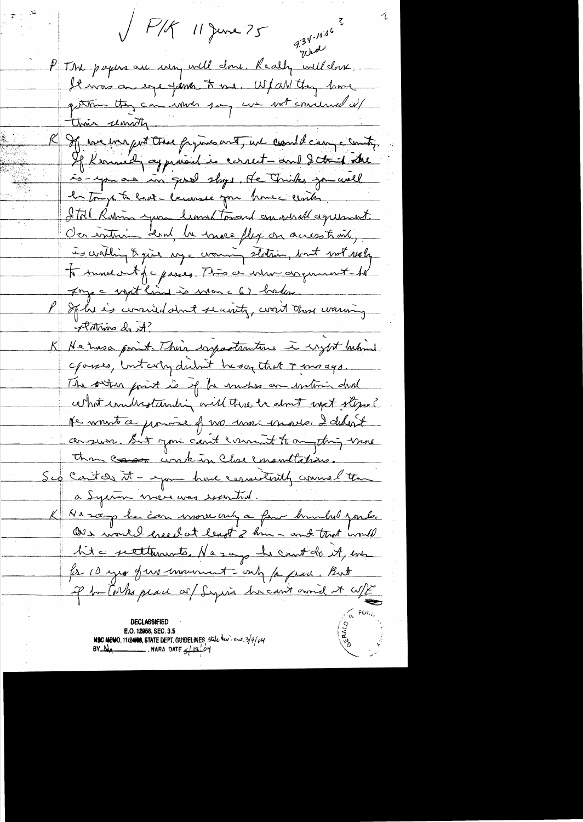P/J 11 June 75  $9.34 - 10.06$ way P The papers are went will done. Really well done. It was an egge finant to me. Whall they lawel gettin they can what you we with concerned it thin unity R If we ine just the fyins and, we could can a contr. If Kennedy approved is correct-and I think is-you are in good shops. He Triks you well la toujo ta hast laccessé pour home center. Ital Robin you leaved toward an surall agreement. Ca interna dend la mose flex on access to one, is cortling & just my a crowing station, but not realy to move out of asses. This a when anywhere to Inge not line is non c 6) basser. If he is worried don't security, word those warming Arthino de A? K He has gont. Their exportantine is eight behind cpasses, but city dubut he say that I magge. The orther point is of he musters are interior dual certait condrestanding will thre is about most stepse? He wonst ce pourre of two more essaite I debut consume But you can't comment to anything more than conson inkin Close ementation. Sep Cent de it - you have consistently commel than a Sycian vieu une recentral. K Ne soop he can inverse only a fine bunded youter ONe would creech at least 3 km - and that would lite settlements. Ne says he could it, en for 10 year from more and for grace. But of ha Conks place of Sequia hican't and it wife DECLASSIFIED E.O. 12958, SEC. 3.5 NSC MEMO, 11/2408, STATE DEPT. GUIDELINES, state lev. en 3/4/04 BY  $M_A$  NARA DATE  $\frac{1}{2}19704$